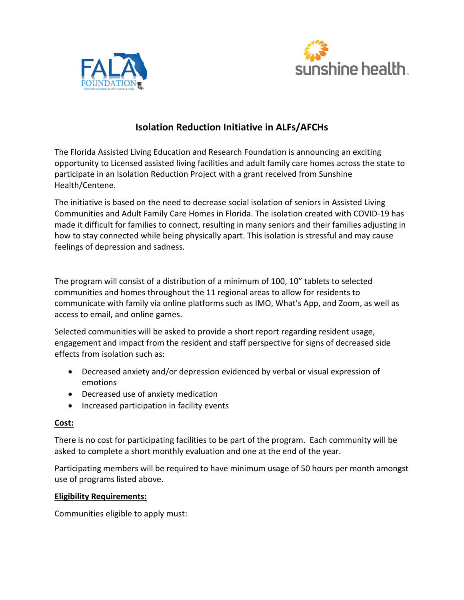



# **Isolation Reduction Initiative in ALFs/AFCHs**

The Florida Assisted Living Education and Research Foundation is announcing an exciting opportunity to Licensed assisted living facilities and adult family care homes across the state to participate in an Isolation Reduction Project with a grant received from Sunshine Health/Centene.

The initiative is based on the need to decrease social isolation of seniors in Assisted Living Communities and Adult Family Care Homes in Florida. The isolation created with COVID-19 has made it difficult for families to connect, resulting in many seniors and their families adjusting in how to stay connected while being physically apart. This isolation is stressful and may cause feelings of depression and sadness.

The program will consist of a distribution of a minimum of 100, 10" tablets to selected communities and homes throughout the 11 regional areas to allow for residents to communicate with family via online platforms such as IMO, What's App, and Zoom, as well as access to email, and online games.

Selected communities will be asked to provide a short report regarding resident usage, engagement and impact from the resident and staff perspective for signs of decreased side effects from isolation such as:

- Decreased anxiety and/or depression evidenced by verbal or visual expression of emotions
- Decreased use of anxiety medication
- Increased participation in facility events

## **Cost:**

There is no cost for participating facilities to be part of the program. Each community will be asked to complete a short monthly evaluation and one at the end of the year.

Participating members will be required to have minimum usage of 50 hours per month amongst use of programs listed above.

## **Eligibility Requirements:**

Communities eligible to apply must: